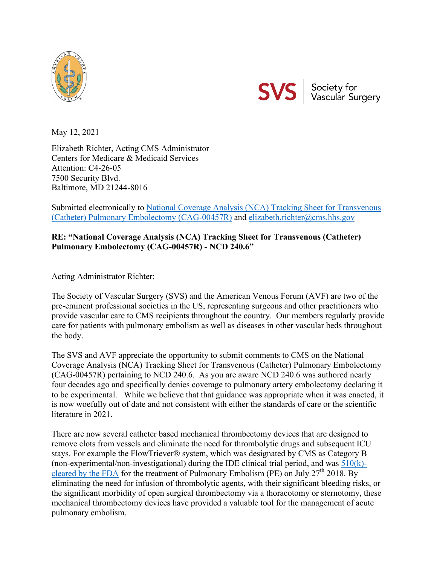



May 12, 2021

Elizabeth Richter, Acting CMS Administrator Centers for Medicare & Medicaid Services Attention: C4-26-05 7500 Security Blvd. Baltimore, MD 21244-8016

Submitted electronically to National Coverage Analysis (NCA) Tracking Sheet for Transvenous (Catheter) Pulmonary Embolectomy (CAG-00457R) and elizabeth.richter@cms.hhs.gov

## **RE: "National Coverage Analysis (NCA) Tracking Sheet for Transvenous (Catheter) Pulmonary Embolectomy (CAG-00457R) - NCD 240.6"**

Acting Administrator Richter:

The Society of Vascular Surgery (SVS) and the American Venous Forum (AVF) are two of the pre-eminent professional societies in the US, representing surgeons and other practitioners who provide vascular care to CMS recipients throughout the country. Our members regularly provide care for patients with pulmonary embolism as well as diseases in other vascular beds throughout the body.

The SVS and AVF appreciate the opportunity to submit comments to CMS on the National Coverage Analysis (NCA) Tracking Sheet for Transvenous (Catheter) Pulmonary Embolectomy (CAG-00457R) pertaining to NCD 240.6. As you are aware NCD 240.6 was authored nearly four decades ago and specifically denies coverage to pulmonary artery embolectomy declaring it to be experimental. While we believe that that guidance was appropriate when it was enacted, it is now woefully out of date and not consistent with either the standards of care or the scientific literature in 2021.

There are now several catheter based mechanical thrombectomy devices that are designed to remove clots from vessels and eliminate the need for thrombolytic drugs and subsequent ICU stays. For example the FlowTriever® system, which was designated by CMS as Category B (non-experimental/non-investigational) during the IDE clinical trial period, and was  $510(k)$ cleared by the FDA for the treatment of Pulmonary Embolism (PE) on July  $27<sup>th</sup> 2018$ . By eliminating the need for infusion of thrombolytic agents, with their significant bleeding risks, or the significant morbidity of open surgical thrombectomy via a thoracotomy or sternotomy, these mechanical thrombectomy devices have provided a valuable tool for the management of acute pulmonary embolism.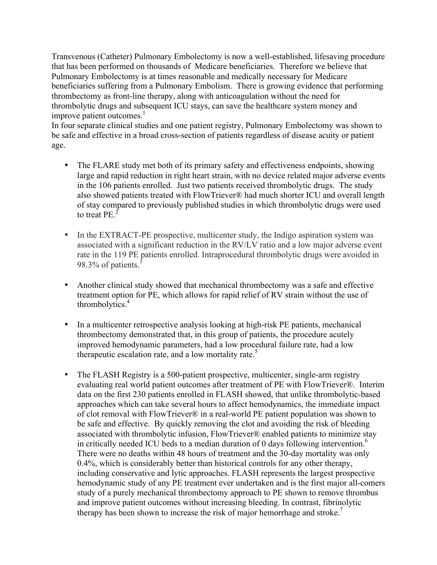Transvenous (Catheter) Pulmonary Embolectomy is now a well-established, lifesaving procedure that has been performed on thousands of Medicare beneficiaries. Therefore we believe that Pulmonary Embolectomy is at times reasonable and medically necessary for Medicare beneficiaries suffering from a Pulmonary Embolism. There is growing evidence that performing thrombectomy as front-line therapy, along with anticoagulation without the need for thrombolytic drugs and subsequent ICU stays, can save the healthcare system money and improve patient outcomes. $<sup>1</sup>$ </sup>

In four separate clinical studies and one patient registry, Pulmonary Embolectomy was shown to be safe and effective in a broad cross-section of patients regardless of disease acuity or patient age.

- The FLARE study met both of its primary safety and effectiveness endpoints, showing large and rapid reduction in right heart strain, with no device related major adverse events in the 106 patients enrolled. Just two patients received thrombolytic drugs. The study also showed patients treated with FlowTriever® had much shorter ICU and overall length of stay compared to previously published studies in which thrombolytic drugs were used to treat PE. $<sup>2</sup>$ </sup>
- In the EXTRACT-PE prospective, multicenter study, the Indigo aspiration system was associated with a significant reduction in the RV/LV ratio and a low major adverse event rate in the 119 PE patients enrolled. Intraprocedural thrombolytic drugs were avoided in 98.3% of patients. $3$
- Another clinical study showed that mechanical thrombectomy was a safe and effective treatment option for PE, which allows for rapid relief of RV strain without the use of  $th$ rombolytics. $4$
- In a multicenter retrospective analysis looking at high-risk PE patients, mechanical thrombectomy demonstrated that, in this group of patients, the procedure acutely improved hemodynamic parameters, had a low procedural failure rate, had a low therapeutic escalation rate, and a low mortality rate.<sup>5</sup>
- The FLASH Registry is a 500-patient prospective, multicenter, single-arm registry evaluating real world patient outcomes after treatment of PE with FlowTriever®. Interim data on the first 230 patients enrolled in FLASH showed, that unlike thrombolytic-based approaches which can take several hours to affect hemodynamics, the immediate impact of clot removal with FlowTriever® in a real-world PE patient population was shown to be safe and effective. By quickly removing the clot and avoiding the risk of bleeding associated with thrombolytic infusion, FlowTriever® enabled patients to minimize stay in critically needed ICU beds to a median duration of 0 days following intervention.<sup>6</sup> There were no deaths within 48 hours of treatment and the 30-day mortality was only 0.4%, which is considerably better than historical controls for any other therapy, including conservative and lytic approaches. FLASH represents the largest prospective hemodynamic study of any PE treatment ever undertaken and is the first major all-comers study of a purely mechanical thrombectomy approach to PE shown to remove thrombus and improve patient outcomes without increasing bleeding. In contrast, fibrinolytic therapy has been shown to increase the risk of major hemorrhage and stroke.<sup>7</sup>